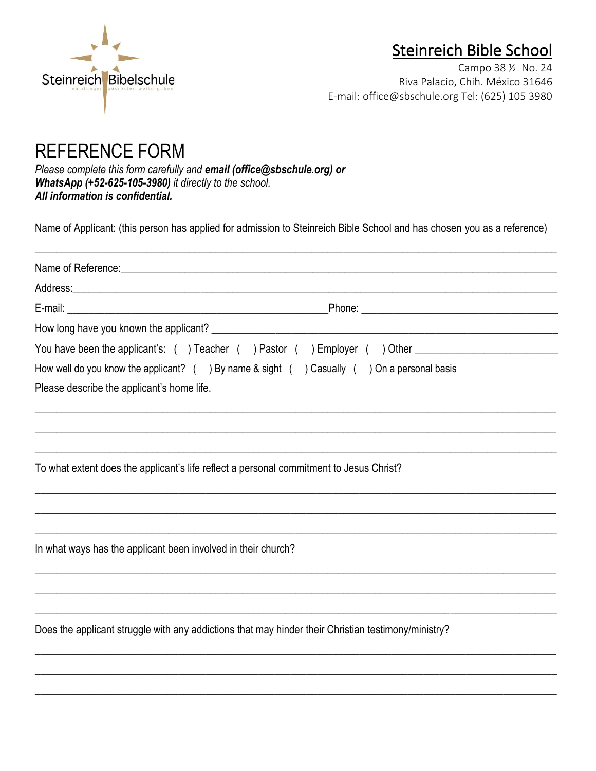

# Steinreich Bible School

Campo 38 ½ No. 24 Riva Palacio, Chih. México 31646 E-mail: office@sbschule.org Tel: (625) 105 3980

# REFERENCE FORM

*Please complete this form carefully and email [\(office@sbschule.org\)](mailto:office@sbschule.org) or WhatsApp (+52-625-105-3980) it directly to the school. All information is confidential.*

Name of Applicant: (this person has applied for admission to Steinreich Bible School and has chosen you as a reference)

 $\overline{\phantom{a}}$  , and the contribution of the contribution of the contribution of the contribution of the contribution of the contribution of the contribution of the contribution of the contribution of the contribution of the

|                                                               | You have been the applicant's: () Teacher () Pastor () Employer () Other ___________________________ |  |  |  |
|---------------------------------------------------------------|------------------------------------------------------------------------------------------------------|--|--|--|
|                                                               | How well do you know the applicant? $($ ) By name & sight $($ ) Casually $($ ) On a personal basis   |  |  |  |
| Please describe the applicant's home life.                    |                                                                                                      |  |  |  |
|                                                               |                                                                                                      |  |  |  |
|                                                               | To what extent does the applicant's life reflect a personal commitment to Jesus Christ?              |  |  |  |
|                                                               |                                                                                                      |  |  |  |
| In what ways has the applicant been involved in their church? |                                                                                                      |  |  |  |
|                                                               |                                                                                                      |  |  |  |
|                                                               |                                                                                                      |  |  |  |
|                                                               | Does the applicant struggle with any addictions that may hinder their Christian testimony/ministry?  |  |  |  |
|                                                               |                                                                                                      |  |  |  |
|                                                               |                                                                                                      |  |  |  |